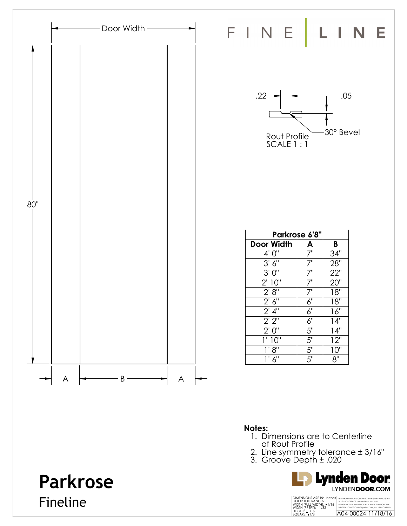

### **Notes:**

- 1. Dimensions are to Centerline of Rout Profile
- 2. Line symmetry tolerance ± 3/16"
- 3. Groove Depth ± .020



# **Parkrose**

Fineline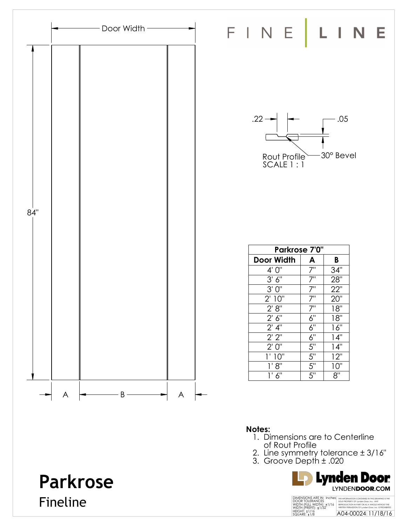

#### **Notes:**

- 1. Dimensions are to Centerline of Rout Profile
- 2. Line symmetry tolerance ± 3/16"
- 3. Groove Depth ± .020



# **Parkrose** Fineline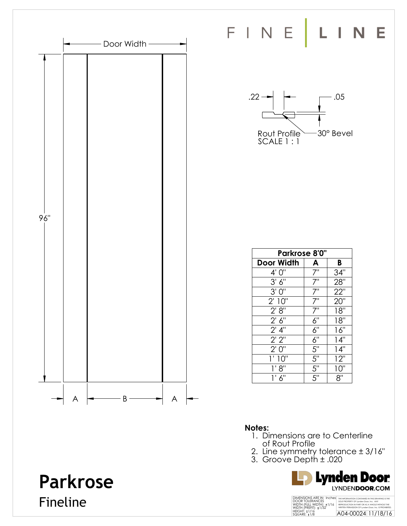

FINE LINE



| Parkrose 8'0"      |                  |     |  |
|--------------------|------------------|-----|--|
| <b>Door Width</b>  | A                | B   |  |
| 4' 0"              | 7"               | 34" |  |
| 3' 6''             | $7^{\circ}$      | 28" |  |
| 3'0''              | 7"               | 22" |  |
| 2' 10"             | $\bar{7}$ "      | 20" |  |
| 2' 8''             | $\bar{Z}^0$      | 18" |  |
| 2' 6''             | 6"               | 18" |  |
| $2'$ 4"            | 6"               | 16" |  |
| 2'2''              | $\overline{6}$ " | 14" |  |
| 2'0''              | $\overline{5}$ " | 14" |  |
| $1^{\circ}$<br>10" | 5"               | 12" |  |
| 1' 8''             | $\frac{1}{5}$    | 10" |  |
| 6"<br>1'           | $\overline{5}$ " | 8"  |  |

### **Notes:**

- 1. Dimensions are to Centerline of Rout Profile
- 2. Line symmetry tolerance ± 3/16"
- 3. Groove Depth ± .020



# **Parkrose** Fineline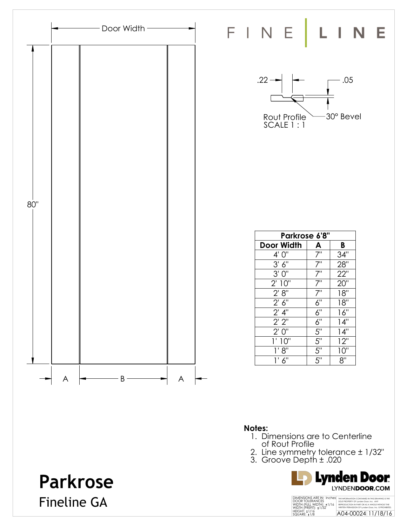

**Parkrose**

Fineline GA

#### **Notes:**

- 1. Dimensions are to Centerline of Rout Profile
- 2. Line symmetry tolerance ± 1/32"
- 3. Groove Depth ± .020

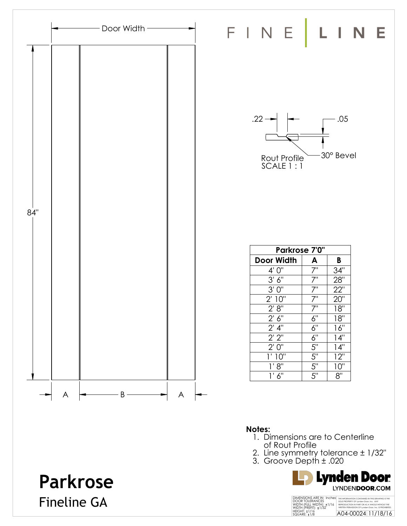

### **Notes:**

- 1. Dimensions are to Centerline of Rout Profile
- 2. Line symmetry tolerance ± 1/32"
- 3. Groove Depth ± .020



# **Parkrose** Fineline GA